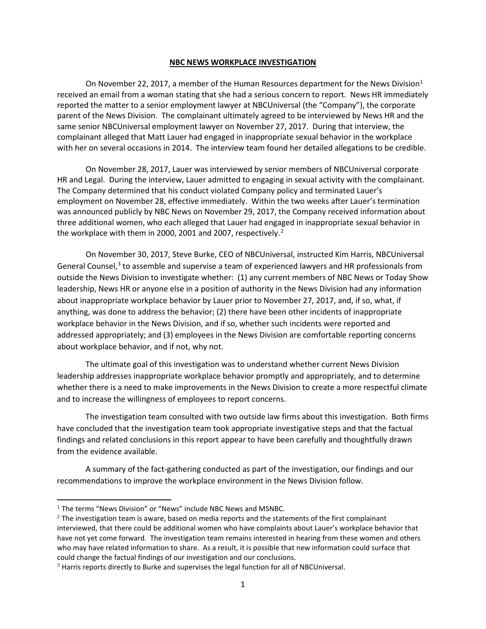## **NBC NEWS WORKPLACE INVESTIGATION**

On November 22, 2017, a member of the Human Resources department for the News Division<sup>1</sup> received an email from a woman stating that she had a serious concern to report. News HR immediately reported the matter to a senior employment lawyer at NBCUniversal (the "Company"), the corporate parent of the News Division. The complainant ultimately agreed to be interviewed by News HR and the same senior NBCUniversal employment lawyer on November 27, 2017. During that interview, the complainant alleged that Matt Lauer had engaged in inappropriate sexual behavior in the workplace with her on several occasions in 2014. The interview team found her detailed allegations to be credible.

On November 28, 2017, Lauer was interviewed by senior members of NBCUniversal corporate HR and Legal. During the interview, Lauer admitted to engaging in sexual activity with the complainant. The Company determined that his conduct violated Company policy and terminated Lauer's employment on November 28, effective immediately. Within the two weeks after Lauer's termination was announced publicly by NBC News on November 29, 2017, the Company received information about three additional women, who each alleged that Lauer had engaged in inappropriate sexual behavior in the workplace with them in 2000, 2001 and 2007, respectively. [2](#page-0-1)

On November 30, 2017, Steve Burke, CEO of NBCUniversal, instructed Kim Harris, NBCUniversal General Counsel,<sup>[3](#page-0-2)</sup> to assemble and supervise a team of experienced lawyers and HR professionals from outside the News Division to investigate whether: (1) any current members of NBC News or Today Show leadership, News HR or anyone else in a position of authority in the News Division had any information about inappropriate workplace behavior by Lauer prior to November 27, 2017, and, if so, what, if anything, was done to address the behavior; (2) there have been other incidents of inappropriate workplace behavior in the News Division, and if so, whether such incidents were reported and addressed appropriately; and (3) employees in the News Division are comfortable reporting concerns about workplace behavior, and if not, why not.

The ultimate goal of this investigation was to understand whether current News Division leadership addresses inappropriate workplace behavior promptly and appropriately, and to determine whether there is a need to make improvements in the News Division to create a more respectful climate and to increase the willingness of employees to report concerns.

The investigation team consulted with two outside law firms about this investigation. Both firms have concluded that the investigation team took appropriate investigative steps and that the factual findings and related conclusions in this report appear to have been carefully and thoughtfully drawn from the evidence available.

A summary of the fact-gathering conducted as part of the investigation, our findings and our recommendations to improve the workplace environment in the News Division follow.

<span id="page-0-0"></span><sup>&</sup>lt;sup>1</sup> The terms "News Division" or "News" include NBC News and MSNBC.

<span id="page-0-1"></span> $2$  The investigation team is aware, based on media reports and the statements of the first complainant interviewed, that there could be additional women who have complaints about Lauer's workplace behavior that have not yet come forward. The investigation team remains interested in hearing from these women and others who may have related information to share. As a result, it is possible that new information could surface that could change the factual findings of our investigation and our conclusions.

<span id="page-0-2"></span> $3$  Harris reports directly to Burke and supervises the legal function for all of NBCUniversal.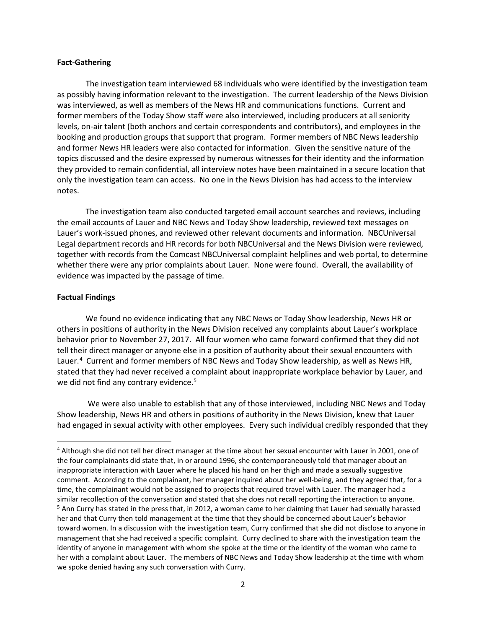### **Fact-Gathering**

The investigation team interviewed 68 individuals who were identified by the investigation team as possibly having information relevant to the investigation. The current leadership of the News Division was interviewed, as well as members of the News HR and communications functions. Current and former members of the Today Show staff were also interviewed, including producers at all seniority levels, on-air talent (both anchors and certain correspondents and contributors), and employees in the booking and production groups that support that program. Former members of NBC News leadership and former News HR leaders were also contacted for information. Given the sensitive nature of the topics discussed and the desire expressed by numerous witnesses for their identity and the information they provided to remain confidential, all interview notes have been maintained in a secure location that only the investigation team can access. No one in the News Division has had access to the interview notes.

The investigation team also conducted targeted email account searches and reviews, including the email accounts of Lauer and NBC News and Today Show leadership, reviewed text messages on Lauer's work-issued phones, and reviewed other relevant documents and information. NBCUniversal Legal department records and HR records for both NBCUniversal and the News Division were reviewed, together with records from the Comcast NBCUniversal complaint helplines and web portal, to determine whether there were any prior complaints about Lauer. None were found. Overall, the availability of evidence was impacted by the passage of time.

# **Factual Findings**

We found no evidence indicating that any NBC News or Today Show leadership, News HR or others in positions of authority in the News Division received any complaints about Lauer's workplace behavior prior to November 27, 2017. All four women who came forward confirmed that they did not tell their direct manager or anyone else in a position of authority about their sexual encounters with Lauer.<sup>[4](#page-1-0)</sup> Current and former members of NBC News and Today Show leadership, as well as News HR, stated that they had never received a complaint about inappropriate workplace behavior by Lauer, and we did not find any contrary evidence.<sup>[5](#page-1-1)</sup>

We were also unable to establish that any of those interviewed, including NBC News and Today Show leadership, News HR and others in positions of authority in the News Division, knew that Lauer had engaged in sexual activity with other employees. Every such individual credibly responded that they

<span id="page-1-1"></span><span id="page-1-0"></span><sup>&</sup>lt;sup>4</sup> Although she did not tell her direct manager at the time about her sexual encounter with Lauer in 2001, one of the four complainants did state that, in or around 1996, she contemporaneously told that manager about an inappropriate interaction with Lauer where he placed his hand on her thigh and made a sexually suggestive comment. According to the complainant, her manager inquired about her well-being, and they agreed that, for a time, the complainant would not be assigned to projects that required travel with Lauer. The manager had a similar recollection of the conversation and stated that she does not recall reporting the interaction to anyone.  $<sup>5</sup>$  Ann Curry has stated in the press that, in 2012, a woman came to her claiming that Lauer had sexually harassed</sup> her and that Curry then told management at the time that they should be concerned about Lauer's behavior toward women. In a discussion with the investigation team, Curry confirmed that she did not disclose to anyone in management that she had received a specific complaint. Curry declined to share with the investigation team the identity of anyone in management with whom she spoke at the time or the identity of the woman who came to her with a complaint about Lauer. The members of NBC News and Today Show leadership at the time with whom we spoke denied having any such conversation with Curry.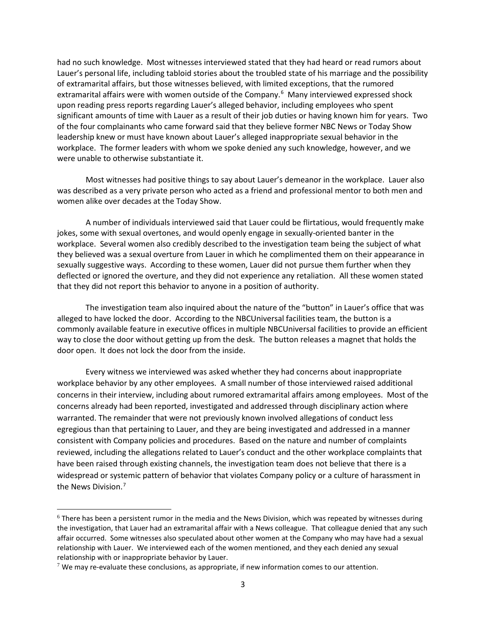had no such knowledge. Most witnesses interviewed stated that they had heard or read rumors about Lauer's personal life, including tabloid stories about the troubled state of his marriage and the possibility of extramarital affairs, but those witnesses believed, with limited exceptions, that the rumored extramarital affairs were with women outside of the Company.<sup>[6](#page-2-0)</sup> Many interviewed expressed shock upon reading press reports regarding Lauer's alleged behavior, including employees who spent significant amounts of time with Lauer as a result of their job duties or having known him for years. Two of the four complainants who came forward said that they believe former NBC News or Today Show leadership knew or must have known about Lauer's alleged inappropriate sexual behavior in the workplace. The former leaders with whom we spoke denied any such knowledge, however, and we were unable to otherwise substantiate it.

Most witnesses had positive things to say about Lauer's demeanor in the workplace. Lauer also was described as a very private person who acted as a friend and professional mentor to both men and women alike over decades at the Today Show.

A number of individuals interviewed said that Lauer could be flirtatious, would frequently make jokes, some with sexual overtones, and would openly engage in sexually-oriented banter in the workplace. Several women also credibly described to the investigation team being the subject of what they believed was a sexual overture from Lauer in which he complimented them on their appearance in sexually suggestive ways. According to these women, Lauer did not pursue them further when they deflected or ignored the overture, and they did not experience any retaliation. All these women stated that they did not report this behavior to anyone in a position of authority.

The investigation team also inquired about the nature of the "button" in Lauer's office that was alleged to have locked the door. According to the NBCUniversal facilities team, the button is a commonly available feature in executive offices in multiple NBCUniversal facilities to provide an efficient way to close the door without getting up from the desk. The button releases a magnet that holds the door open. It does not lock the door from the inside.

Every witness we interviewed was asked whether they had concerns about inappropriate workplace behavior by any other employees. A small number of those interviewed raised additional concerns in their interview, including about rumored extramarital affairs among employees. Most of the concerns already had been reported, investigated and addressed through disciplinary action where warranted. The remainder that were not previously known involved allegations of conduct less egregious than that pertaining to Lauer, and they are being investigated and addressed in a manner consistent with Company policies and procedures. Based on the nature and number of complaints reviewed, including the allegations related to Lauer's conduct and the other workplace complaints that have been raised through existing channels, the investigation team does not believe that there is a widespread or systemic pattern of behavior that violates Company policy or a culture of harassment in the News Division.[7](#page-2-1)

<span id="page-2-0"></span> <sup>6</sup> There has been a persistent rumor in the media and the News Division, which was repeated by witnesses during the investigation, that Lauer had an extramarital affair with a News colleague. That colleague denied that any such affair occurred. Some witnesses also speculated about other women at the Company who may have had a sexual relationship with Lauer. We interviewed each of the women mentioned, and they each denied any sexual relationship with or inappropriate behavior by Lauer.

<span id="page-2-1"></span> $7$  We may re-evaluate these conclusions, as appropriate, if new information comes to our attention.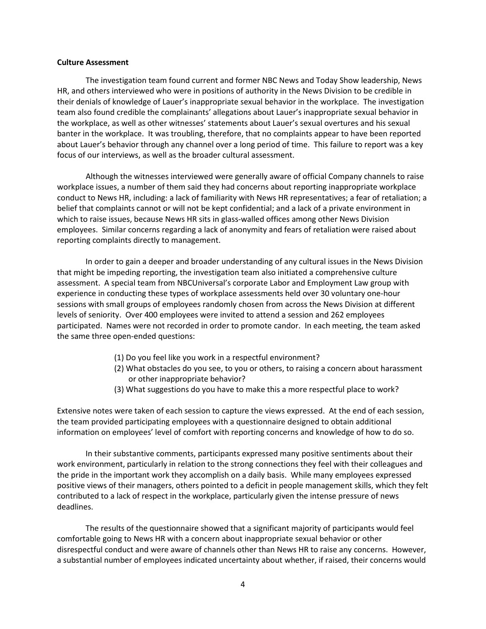#### **Culture Assessment**

The investigation team found current and former NBC News and Today Show leadership, News HR, and others interviewed who were in positions of authority in the News Division to be credible in their denials of knowledge of Lauer's inappropriate sexual behavior in the workplace. The investigation team also found credible the complainants' allegations about Lauer's inappropriate sexual behavior in the workplace, as well as other witnesses' statements about Lauer's sexual overtures and his sexual banter in the workplace. It was troubling, therefore, that no complaints appear to have been reported about Lauer's behavior through any channel over a long period of time. This failure to report was a key focus of our interviews, as well as the broader cultural assessment.

Although the witnesses interviewed were generally aware of official Company channels to raise workplace issues, a number of them said they had concerns about reporting inappropriate workplace conduct to News HR, including: a lack of familiarity with News HR representatives; a fear of retaliation; a belief that complaints cannot or will not be kept confidential; and a lack of a private environment in which to raise issues, because News HR sits in glass-walled offices among other News Division employees. Similar concerns regarding a lack of anonymity and fears of retaliation were raised about reporting complaints directly to management.

In order to gain a deeper and broader understanding of any cultural issues in the News Division that might be impeding reporting, the investigation team also initiated a comprehensive culture assessment. A special team from NBCUniversal's corporate Labor and Employment Law group with experience in conducting these types of workplace assessments held over 30 voluntary one-hour sessions with small groups of employees randomly chosen from across the News Division at different levels of seniority. Over 400 employees were invited to attend a session and 262 employees participated. Names were not recorded in order to promote candor. In each meeting, the team asked the same three open-ended questions:

- (1) Do you feel like you work in a respectful environment?
- (2) What obstacles do you see, to you or others, to raising a concern about harassment or other inappropriate behavior?
- (3) What suggestions do you have to make this a more respectful place to work?

Extensive notes were taken of each session to capture the views expressed. At the end of each session, the team provided participating employees with a questionnaire designed to obtain additional information on employees' level of comfort with reporting concerns and knowledge of how to do so.

In their substantive comments, participants expressed many positive sentiments about their work environment, particularly in relation to the strong connections they feel with their colleagues and the pride in the important work they accomplish on a daily basis. While many employees expressed positive views of their managers, others pointed to a deficit in people management skills, which they felt contributed to a lack of respect in the workplace, particularly given the intense pressure of news deadlines.

The results of the questionnaire showed that a significant majority of participants would feel comfortable going to News HR with a concern about inappropriate sexual behavior or other disrespectful conduct and were aware of channels other than News HR to raise any concerns. However, a substantial number of employees indicated uncertainty about whether, if raised, their concerns would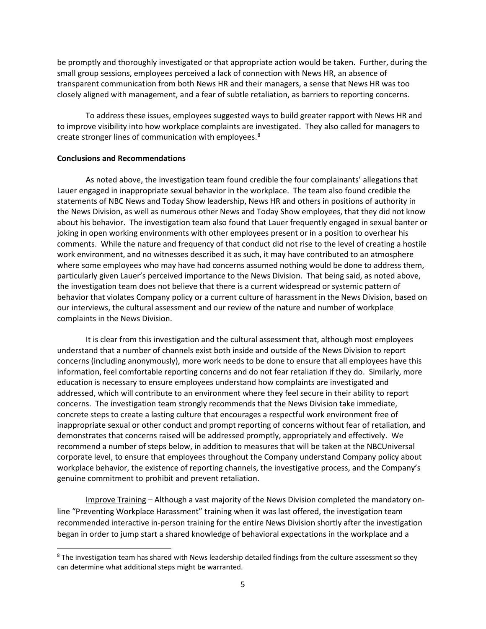be promptly and thoroughly investigated or that appropriate action would be taken. Further, during the small group sessions, employees perceived a lack of connection with News HR, an absence of transparent communication from both News HR and their managers, a sense that News HR was too closely aligned with management, and a fear of subtle retaliation, as barriers to reporting concerns.

To address these issues, employees suggested ways to build greater rapport with News HR and to improve visibility into how workplace complaints are investigated. They also called for managers to create stronger lines of communication with employees.<sup>[8](#page-4-0)</sup>

## **Conclusions and Recommendations**

 $\overline{a}$ 

As noted above, the investigation team found credible the four complainants' allegations that Lauer engaged in inappropriate sexual behavior in the workplace. The team also found credible the statements of NBC News and Today Show leadership, News HR and others in positions of authority in the News Division, as well as numerous other News and Today Show employees, that they did not know about his behavior. The investigation team also found that Lauer frequently engaged in sexual banter or joking in open working environments with other employees present or in a position to overhear his comments. While the nature and frequency of that conduct did not rise to the level of creating a hostile work environment, and no witnesses described it as such, it may have contributed to an atmosphere where some employees who may have had concerns assumed nothing would be done to address them, particularly given Lauer's perceived importance to the News Division. That being said, as noted above, the investigation team does not believe that there is a current widespread or systemic pattern of behavior that violates Company policy or a current culture of harassment in the News Division, based on our interviews, the cultural assessment and our review of the nature and number of workplace complaints in the News Division.

It is clear from this investigation and the cultural assessment that, although most employees understand that a number of channels exist both inside and outside of the News Division to report concerns (including anonymously), more work needs to be done to ensure that all employees have this information, feel comfortable reporting concerns and do not fear retaliation if they do. Similarly, more education is necessary to ensure employees understand how complaints are investigated and addressed, which will contribute to an environment where they feel secure in their ability to report concerns. The investigation team strongly recommends that the News Division take immediate, concrete steps to create a lasting culture that encourages a respectful work environment free of inappropriate sexual or other conduct and prompt reporting of concerns without fear of retaliation, and demonstrates that concerns raised will be addressed promptly, appropriately and effectively. We recommend a number of steps below, in addition to measures that will be taken at the NBCUniversal corporate level, to ensure that employees throughout the Company understand Company policy about workplace behavior, the existence of reporting channels, the investigative process, and the Company's genuine commitment to prohibit and prevent retaliation.

Improve Training – Although a vast majority of the News Division completed the mandatory online "Preventing Workplace Harassment" training when it was last offered, the investigation team recommended interactive in-person training for the entire News Division shortly after the investigation began in order to jump start a shared knowledge of behavioral expectations in the workplace and a

<span id="page-4-0"></span><sup>&</sup>lt;sup>8</sup> The investigation team has shared with News leadership detailed findings from the culture assessment so they can determine what additional steps might be warranted.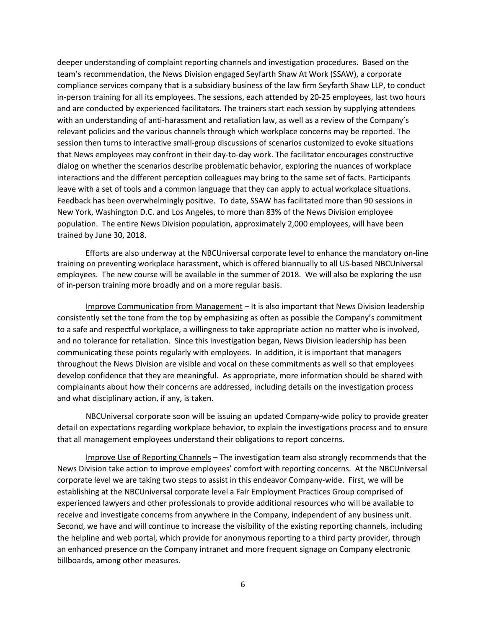deeper understanding of complaint reporting channels and investigation procedures. Based on the team's recommendation, the News Division engaged Seyfarth Shaw At Work (SSAW), a corporate compliance services company that is a subsidiary business of the law firm Seyfarth Shaw LLP, to conduct in-person training for all its employees. The sessions, each attended by 20-25 employees, last two hours and are conducted by experienced facilitators. The trainers start each session by supplying attendees with an understanding of anti-harassment and retaliation law, as well as a review of the Company's relevant policies and the various channels through which workplace concerns may be reported. The session then turns to interactive small-group discussions of scenarios customized to evoke situations that News employees may confront in their day-to-day work. The facilitator encourages constructive dialog on whether the scenarios describe problematic behavior, exploring the nuances of workplace interactions and the different perception colleagues may bring to the same set of facts. Participants leave with a set of tools and a common language that they can apply to actual workplace situations. Feedback has been overwhelmingly positive. To date, SSAW has facilitated more than 90 sessions in New York, Washington D.C. and Los Angeles, to more than 83% of the News Division employee population. The entire News Division population, approximately 2,000 employees, will have been trained by June 30, 2018.

Efforts are also underway at the NBCUniversal corporate level to enhance the mandatory on-line training on preventing workplace harassment, which is offered biannually to all US-based NBCUniversal employees. The new course will be available in the summer of 2018. We will also be exploring the use of in-person training more broadly and on a more regular basis.

Improve Communication from Management – It is also important that News Division leadership consistently set the tone from the top by emphasizing as often as possible the Company's commitment to a safe and respectful workplace, a willingness to take appropriate action no matter who is involved, and no tolerance for retaliation. Since this investigation began, News Division leadership has been communicating these points regularly with employees. In addition, it is important that managers throughout the News Division are visible and vocal on these commitments as well so that employees develop confidence that they are meaningful. As appropriate, more information should be shared with complainants about how their concerns are addressed, including details on the investigation process and what disciplinary action, if any, is taken.

NBCUniversal corporate soon will be issuing an updated Company-wide policy to provide greater detail on expectations regarding workplace behavior, to explain the investigations process and to ensure that all management employees understand their obligations to report concerns.

Improve Use of Reporting Channels – The investigation team also strongly recommends that the News Division take action to improve employees' comfort with reporting concerns. At the NBCUniversal corporate level we are taking two steps to assist in this endeavor Company-wide. First, we will be establishing at the NBCUniversal corporate level a Fair Employment Practices Group comprised of experienced lawyers and other professionals to provide additional resources who will be available to receive and investigate concerns from anywhere in the Company, independent of any business unit. Second, we have and will continue to increase the visibility of the existing reporting channels, including the helpline and web portal, which provide for anonymous reporting to a third party provider, through an enhanced presence on the Company intranet and more frequent signage on Company electronic billboards, among other measures.